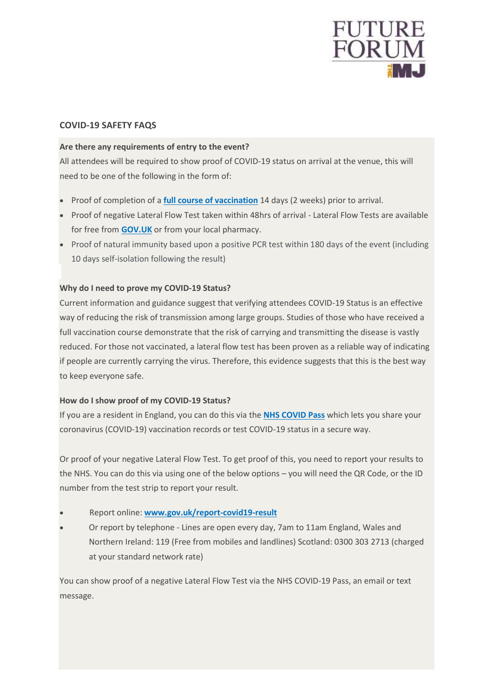

## **COVID-19 SAFETY FAQS**

### **Are there any requirements of entry to the event?**

All attendees will be required to show proof of COVID-19 status on arrival at the venue, this will need to be one of the following in the form of:

- Proof of completion of a **full course of [vaccination](https://www.gov.uk/guidance/nhs-covid-pass)** 14 days (2 weeks) prior to arrival.
- Proof of negative Lateral Flow Test taken within 48hrs of arrival Lateral Flow Tests are available for free from **[GOV.UK](https://www.gov.uk/order-coronavirus-rapid-lateral-flow-tests)** or from your local pharmacy.
- Proof of natural immunity based upon a positive PCR test within 180 days of the event (including 10 days self-isolation following the result)

## **Why do I need to prove my COVID-19 Status?**

Current information and guidance suggest that verifying attendees COVID-19 Status is an effective way of reducing the risk of transmission among large groups. Studies of those who have received a full vaccination course demonstrate that the risk of carrying and transmitting the disease is vastly reduced. For those not vaccinated, a lateral flow test has been proven as a reliable way of indicating if people are currently carrying the virus. Therefore, this evidence suggests that this is the best way to keep everyone safe.

## **How do I show proof of my COVID-19 Status?**

If you are a resident in England, you can do this via the **NHS [COVID](https://www.gov.uk/guidance/nhs-covid-pass) Pass** which lets you share your coronavirus (COVID-19) vaccination records or test COVID-19 status in a secure way.

Or proof of your negative Lateral Flow Test. To get proof of this, you need to report your results to the NHS. You can do this via using one of the below options – you will need the QR Code, or the ID number from the test strip to report your result.

- Report online: **[www.gov.uk/report-covid19-result](https://www.gov.uk/report-covid19-result)**
- Or report by telephone Lines are open every day, 7am to 11am England, Wales and Northern Ireland: 119 (Free from mobiles and landlines) Scotland: 0300 303 2713 (charged at your standard network rate)

You can show proof of a negative Lateral Flow Test via the NHS COVID-19 Pass, an email or text message.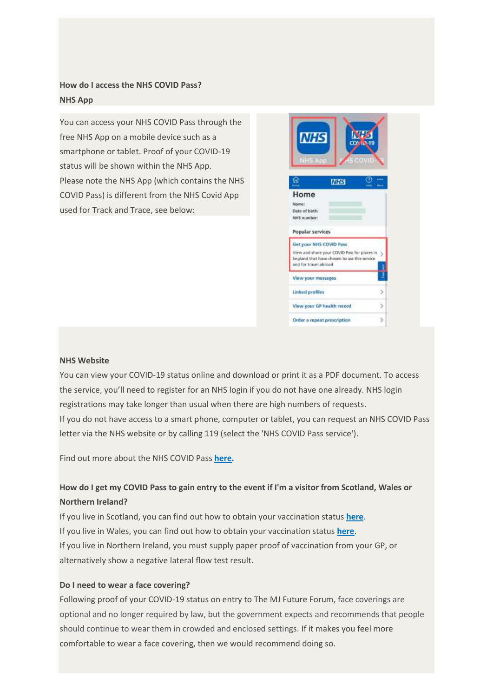# **How do I access the NHS COVID Pass? NHS App**

You can access your NHS COVID Pass through the free NHS App on a mobile device such as a smartphone or tablet. Proof of your COVID-19 status will be shown within the NHS App. Please note the NHS App (which contains the NHS COVID Pass) is different from the NHS Covid App used for Track and Trace, see below:



#### **NHS Website**

You can view your COVID-19 status online and download or print it as a PDF document. To access the service, you'll need to register for an NHS login if you do not have one already. NHS login registrations may take longer than usual when there are high numbers of requests. If you do not have access to a smart phone, computer or tablet, you can request an NHS COVID Pass letter via the NHS website or by calling 119 (select the 'NHS COVID Pass service').

Find out more about the NHS COVID Pass **[here.](https://www.gov.uk/guidance/nhs-covid-pass)**

# How do I get my COVID Pass to gain entry to the event if I'm a visitor from Scotland, Wales or **Northern Ireland?**

If you live in Scotland, you can find out how to obtain your vaccination status **[here](https://www.nhsinform.scot/covid-19-vaccine/after-your-vaccine/get-a-record-of-your-coronavirus-covid-19-vaccination-status)**. If you live in Wales, you can find out how to obtain your vaccination status **[here](https://gov.wales/get-nhs-covid-pass-show-your-vaccination-status-travel)**. If you live in Northern Ireland, you must supply paper proof of vaccination from your GP, or alternatively show a negative lateral flow test result.

#### **Do I need to wear a face covering?**

Following proof of your COVID-19 status on entry to The MJ Future Forum, face coverings are optional and no longer required by law, but the government expects and recommends that people should continue to wear them in crowded and enclosed settings. If it makes you feel more comfortable to wear a face covering, then we would recommend doing so.